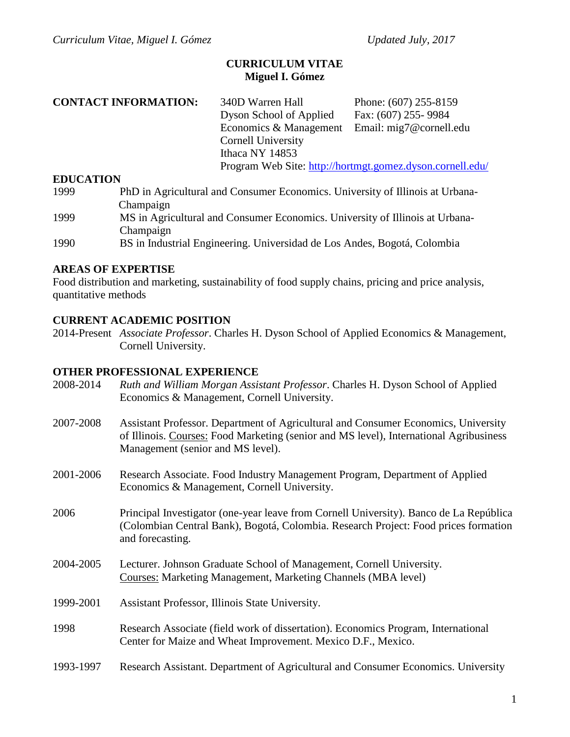### **CURRICULUM VITAE Miguel I. Gómez**

340D Warren Hall Phone: (607) 255-8159 Dyson School of Applied Fax: (607) 255- 9984 Economics & Management Email: mig7@cornell.edu Cornell University Ithaca NY 14853 Program Web Site:<http://hortmgt.gomez.dyson.cornell.edu/>

#### **EDUCATION**

1999 PhD in Agricultural and Consumer Economics. University of Illinois at Urbana-Champaign 1999 MS in Agricultural and Consumer Economics. University of Illinois at Urbana-Champaign

1990 BS in Industrial Engineering. Universidad de Los Andes, Bogotá, Colombia

### **AREAS OF EXPERTISE**

Food distribution and marketing, sustainability of food supply chains, pricing and price analysis, quantitative methods

## **CURRENT ACADEMIC POSITION**

2014-Present *Associate Professor*. Charles H. Dyson School of Applied Economics & Management, Cornell University.

### **OTHER PROFESSIONAL EXPERIENCE**

| 2008-2014 | Ruth and William Morgan Assistant Professor. Charles H. Dyson School of Applied<br>Economics & Management, Cornell University.                                                                                    |
|-----------|-------------------------------------------------------------------------------------------------------------------------------------------------------------------------------------------------------------------|
| 2007-2008 | Assistant Professor. Department of Agricultural and Consumer Economics, University<br>of Illinois. Courses: Food Marketing (senior and MS level), International Agribusiness<br>Management (senior and MS level). |
| 2001-2006 | Research Associate. Food Industry Management Program, Department of Applied<br>Economics & Management, Cornell University.                                                                                        |
| 2006      | Principal Investigator (one-year leave from Cornell University). Banco de La República<br>(Colombian Central Bank), Bogotá, Colombia. Research Project: Food prices formation<br>and forecasting.                 |
| 2004-2005 | Lecturer. Johnson Graduate School of Management, Cornell University.<br><b>Courses: Marketing Management, Marketing Channels (MBA level)</b>                                                                      |
| 1999-2001 | Assistant Professor, Illinois State University.                                                                                                                                                                   |
| 1998      | Research Associate (field work of dissertation). Economics Program, International<br>Center for Maize and Wheat Improvement. Mexico D.F., Mexico.                                                                 |
| 1993-1997 | Research Assistant. Department of Agricultural and Consumer Economics. University                                                                                                                                 |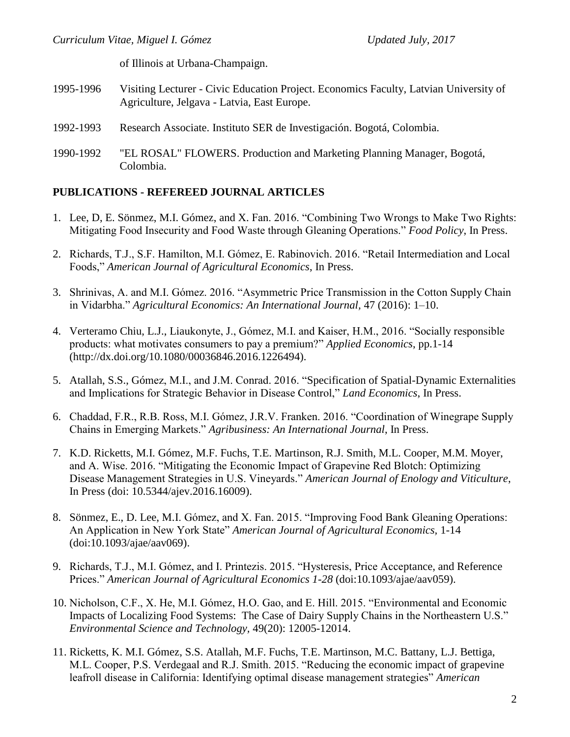of Illinois at Urbana-Champaign.

- 1995-1996 Visiting Lecturer Civic Education Project. Economics Faculty, Latvian University of Agriculture, Jelgava - Latvia, East Europe.
- 1992-1993 Research Associate. Instituto SER de Investigación. Bogotá, Colombia.
- 1990-1992 "EL ROSAL" FLOWERS. Production and Marketing Planning Manager, Bogotá, Colombia.

## **PUBLICATIONS - REFEREED JOURNAL ARTICLES**

- 1. Lee, D, E. Sönmez, M.I. Gómez, and X. Fan. 2016. "Combining Two Wrongs to Make Two Rights: Mitigating Food Insecurity and Food Waste through Gleaning Operations." *Food Policy*, In Press.
- 2. Richards, T.J., S.F. Hamilton, M.I. Gómez, E. Rabinovich. 2016. "Retail Intermediation and Local Foods," *American Journal of Agricultural Economics*, In Press.
- 3. Shrinivas, A. and M.I. Gómez. 2016. "Asymmetric Price Transmission in the Cotton Supply Chain in Vidarbha." *Agricultural Economics: An International Journal,* 47 (2016): 1–10.
- 4. Verteramo Chiu, L.J., Liaukonyte, J., Gómez, M.I. and Kaiser, H.M., 2016. "Socially responsible products: what motivates consumers to pay a premium?" *Applied Economics*, pp.1-14 (http://dx.doi.org/10.1080/00036846.2016.1226494).
- 5. Atallah, S.S., Gómez, M.I., and J.M. Conrad. 2016. "Specification of Spatial-Dynamic Externalities and Implications for Strategic Behavior in Disease Control," *Land Economics*, In Press.
- 6. Chaddad, F.R., R.B. Ross, M.I. Gómez, J.R.V. Franken. 2016. "Coordination of Winegrape Supply Chains in Emerging Markets." *Agribusiness: An International Journal*, In Press.
- 7. K.D. Ricketts, M.I. Gómez, M.F. Fuchs, T.E. Martinson, R.J. Smith, M.L. Cooper, M.M. Moyer, and A. Wise. 2016. "Mitigating the Economic Impact of Grapevine Red Blotch: Optimizing Disease Management Strategies in U.S. Vineyards." *American Journal of Enology and Viticulture*, In Press (doi: 10.5344/ajev.2016.16009).
- 8. Sönmez, E., D. Lee, M.I. Gómez, and X. Fan. 2015. "Improving Food Bank Gleaning Operations: An Application in New York State" *American Journal of Agricultural Economics,* 1-14 (doi:10.1093/ajae/aav069).
- 9. Richards, T.J., M.I. Gómez, and I. Printezis. 2015. "Hysteresis, Price Acceptance, and Reference Prices." *American Journal of Agricultural Economics 1-28* (doi:10.1093/ajae/aav059).
- 10. Nicholson, C.F., X. He, M.I. Gómez, H.O. Gao, and E. Hill. 2015. "Environmental and Economic Impacts of Localizing Food Systems: The Case of Dairy Supply Chains in the Northeastern U.S." *Environmental Science and Technology,* 49(20): 12005-12014.
- 11. Ricketts, K. M.I. Gómez, S.S. Atallah, M.F. Fuchs, T.E. Martinson, M.C. Battany, L.J. Bettiga, M.L. Cooper, P.S. Verdegaal and R.J. Smith. 2015. "Reducing the economic impact of grapevine leafroll disease in California: Identifying optimal disease management strategies" *American*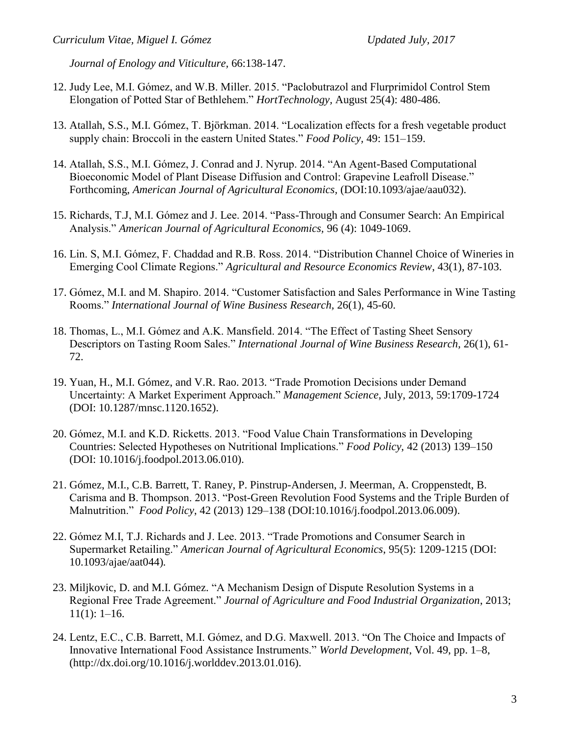*Journal of Enology and Viticulture,* 66:138-147.

- 12. Judy Lee, M.I. Gómez, and W.B. Miller. 2015. "Paclobutrazol and Flurprimidol Control Stem Elongation of Potted Star of Bethlehem." *HortTechnology,* August 25(4): 480-486.
- 13. Atallah, S.S., M.I. Gómez, T. Björkman. 2014. "Localization effects for a fresh vegetable product supply chain: Broccoli in the eastern United States." *Food Policy,* 49: 151–159.
- 14. Atallah, S.S., M.I. Gómez, J. Conrad and J. Nyrup. 2014. "An Agent-Based Computational Bioeconomic Model of Plant Disease Diffusion and Control: Grapevine Leafroll Disease." Forthcoming, *American Journal of Agricultural Economics,* (DOI:10.1093/ajae/aau032).
- 15. Richards, T.J, M.I. Gómez and J. Lee. 2014. "Pass-Through and Consumer Search: An Empirical Analysis." *American Journal of Agricultural Economics,* 96 (4): 1049-1069.
- 16. Lin. S, M.I. Gómez, F. Chaddad and R.B. Ross. 2014. "Distribution Channel Choice of Wineries in Emerging Cool Climate Regions." *Agricultural and Resource Economics Review*, 43(1), 87-103.
- 17. Gómez, M.I. and M. Shapiro. 2014. "Customer Satisfaction and Sales Performance in Wine Tasting Rooms." *International Journal of Wine Business Research,* 26(1), 45-60.
- 18. Thomas, L., M.I. Gómez and A.K. Mansfield. 2014. "The Effect of Tasting Sheet Sensory Descriptors on Tasting Room Sales." *International Journal of Wine Business Research,* 26(1), 61- 72.
- 19. Yuan, H., M.I. Gómez, and V.R. Rao. 2013. "Trade Promotion Decisions under Demand Uncertainty: A Market Experiment Approach." *Management Science*, July, 2013, 59:1709-1724 (DOI: 10.1287/mnsc.1120.1652).
- 20. Gómez, M.I. and K.D. Ricketts. 2013. "Food Value Chain Transformations in Developing Countries: Selected Hypotheses on Nutritional Implications." *Food Policy*, 42 (2013) 139–150 (DOI: 10.1016/j.foodpol.2013.06.010).
- 21. Gómez, M.I., C.B. Barrett, T. Raney, P. Pinstrup-Andersen, J. Meerman, A. Croppenstedt, B. Carisma and B. Thompson. 2013. "Post-Green Revolution Food Systems and the Triple Burden of Malnutrition." *Food Policy*, 42 (2013) 129–138 (DOI:10.1016/j.foodpol.2013.06.009).
- 22. Gómez M.I, T.J. Richards and J. Lee. 2013. "Trade Promotions and Consumer Search in Supermarket Retailing." *American Journal of Agricultural Economics*, 95(5): 1209-1215 (DOI: 10.1093/ajae/aat044)*.*
- 23. Miljkovic, D. and M.I. Gómez. "A Mechanism Design of Dispute Resolution Systems in a Regional Free Trade Agreement." *Journal of Agriculture and Food Industrial Organization*, 2013;  $11(1): 1-16.$
- 24. Lentz, E.C., C.B. Barrett, M.I. Gómez, and D.G. Maxwell. 2013. "On The Choice and Impacts of Innovative International Food Assistance Instruments." *World Development*, Vol. 49, pp. 1–8, (http://dx.doi.org/10.1016/j.worlddev.2013.01.016).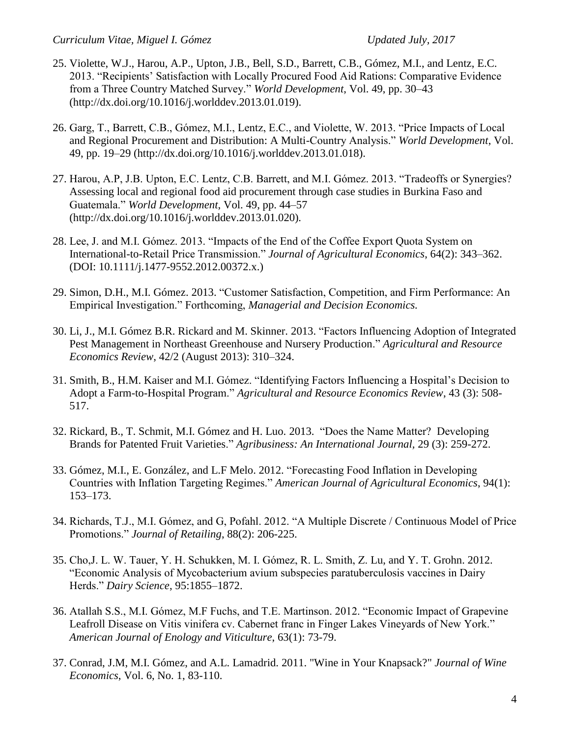- 25. Violette, W.J., Harou, A.P., Upton, J.B., Bell, S.D., Barrett, C.B., Gómez, M.I., and Lentz, E.C. 2013. "Recipients' Satisfaction with Locally Procured Food Aid Rations: Comparative Evidence from a Three Country Matched Survey." *World Development*, Vol. 49, pp. 30–43 (http://dx.doi.org/10.1016/j.worlddev.2013.01.019).
- 26. Garg, T., Barrett, C.B., Gómez, M.I., Lentz, E.C., and Violette, W. 2013. "Price Impacts of Local and Regional Procurement and Distribution: A Multi-Country Analysis." *World Development*, Vol. 49, pp. 19–29 (http://dx.doi.org/10.1016/j.worlddev.2013.01.018).
- 27. Harou, A.P, J.B. Upton, E.C. Lentz, C.B. Barrett, and M.I. Gómez. 2013. "Tradeoffs or Synergies? Assessing local and regional food aid procurement through case studies in Burkina Faso and Guatemala." *World Development*, Vol. 49, pp. 44–57 (http://dx.doi.org/10.1016/j.worlddev.2013.01.020)*.*
- 28. Lee, J. and M.I. Gómez. 2013. "Impacts of the End of the Coffee Export Quota System on International-to-Retail Price Transmission." *Journal of Agricultural Economics*, 64(2): 343–362. (DOI: 10.1111/j.1477-9552.2012.00372.x.)
- 29. Simon, D.H., M.I. Gómez. 2013. "Customer Satisfaction, Competition, and Firm Performance: An Empirical Investigation." Forthcoming, *Managerial and Decision Economics.*
- 30. Li, J., M.I. Gómez B.R. Rickard and M. Skinner. 2013. "Factors Influencing Adoption of Integrated Pest Management in Northeast Greenhouse and Nursery Production." *Agricultural and Resource Economics Review*, 42/2 (August 2013): 310–324.
- 31. Smith, B., H.M. Kaiser and M.I. Gómez. "Identifying Factors Influencing a Hospital's Decision to Adopt a Farm-to-Hospital Program." *Agricultural and Resource Economics Review*, 43 (3): 508- 517.
- 32. Rickard, B., T. Schmit, M.I. Gómez and H. Luo. 2013. "Does the Name Matter? Developing Brands for Patented Fruit Varieties." *Agribusiness: An International Journal,* 29 (3): 259-272.
- 33. Gómez, M.I., E. González, and L.F Melo. 2012. "Forecasting Food Inflation in Developing Countries with Inflation Targeting Regimes." *American Journal of Agricultural Economics*, 94(1): 153–173.
- 34. Richards, T.J., M.I. Gómez, and G, Pofahl. 2012. "A Multiple Discrete / Continuous Model of Price Promotions." *Journal of Retailing*, 88(2): 206-225.
- 35. Cho,J. L. W. Tauer, Y. H. Schukken, M. I. Gόmez, R. L. Smith, Z. Lu, and Y. T. Grohn. 2012. "Economic Analysis of Mycobacterium avium subspecies paratuberculosis vaccines in Dairy Herds." *Dairy Science*, 95:1855–1872.
- 36. Atallah S.S., M.I. Gómez, M.F Fuchs, and T.E. Martinson. 2012. "Economic Impact of Grapevine Leafroll Disease on Vitis vinifera cv. Cabernet franc in Finger Lakes Vineyards of New York." *American Journal of Enology and Viticulture*, 63(1): 73-79.
- 37. Conrad, J.M, M.I. Gómez, and A.L. Lamadrid. 2011. "Wine in Your Knapsack?" *Journal of Wine Economics*, Vol. 6, No. 1, 83-110.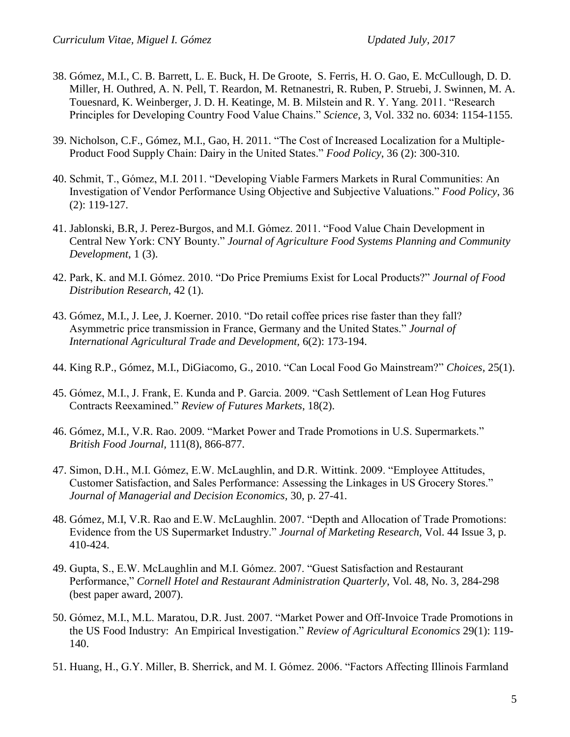- 38. Gómez, M.I., C. B. Barrett, L. E. Buck, H. De Groote, S. Ferris, H. O. Gao, E. McCullough, D. D. Miller, H. Outhred, A. N. Pell, T. Reardon, M. Retnanestri, R. Ruben, P. Struebi, J. Swinnen, M. A. Touesnard, K. Weinberger, J. D. H. Keatinge, M. B. Milstein and R. Y. Yang. 2011. "Research Principles for Developing Country Food Value Chains." *Science,* 3, Vol. 332 no. 6034: 1154-1155.
- 39. Nicholson, C.F., Gómez, M.I., Gao, H. 2011. "The Cost of Increased Localization for a Multiple-Product Food Supply Chain: Dairy in the United States." *Food Policy*, 36 (2): 300-310.
- 40. Schmit, T., Gómez, M.I. 2011. "Developing Viable Farmers Markets in Rural Communities: An Investigation of Vendor Performance Using Objective and Subjective Valuations." *Food Policy*, 36 (2): 119-127.
- 41. Jablonski, B.R, J. Perez-Burgos, and M.I. Gómez. 2011. "Food Value Chain Development in Central New York: CNY Bounty." *Journal of Agriculture Food Systems Planning and Community Development*, 1 (3).
- 42. Park, K. and M.I. Gómez. 2010. "Do Price Premiums Exist for Local Products?" *Journal of Food Distribution Research,* 42 (1).
- 43. Gómez, M.I., J. Lee, J. Koerner. 2010. "Do retail coffee prices rise faster than they fall? Asymmetric price transmission in France, Germany and the United States." *Journal of International Agricultural Trade and Development,* 6(2): 173-194.
- 44. King R.P., Gómez, M.I., DiGiacomo, G., 2010. "Can Local Food Go Mainstream?" *Choices*, 25(1).
- 45. Gómez, M.I., J. Frank, E. Kunda and P. Garcia. 2009. "Cash Settlement of Lean Hog Futures Contracts Reexamined." *Review of Futures Markets*, 18(2).
- 46. Gómez, M.I., V.R. Rao. 2009. "Market Power and Trade Promotions in U.S. Supermarkets." *British Food Journal,* 111(8), 866-877.
- 47. Simon, D.H., M.I. Gómez, E.W. McLaughlin, and D.R. Wittink. 2009. "Employee Attitudes, Customer Satisfaction, and Sales Performance: Assessing the Linkages in US Grocery Stores." *Journal of Managerial and Decision Economics,* 30, p. 27-41*.*
- 48. Gómez, M.I, V.R. Rao and E.W. McLaughlin. 2007. "Depth and Allocation of Trade Promotions: Evidence from the US Supermarket Industry." *Journal of Marketing Research,* Vol. 44 Issue 3, p. 410-424.
- 49. Gupta, S., E.W. McLaughlin and M.I. Gómez. 2007. "Guest Satisfaction and Restaurant Performance," *Cornell Hotel and Restaurant Administration Quarterly*, Vol. 48, No. 3, 284-298 (best paper award, 2007).
- 50. Gómez, M.I., M.L. Maratou, D.R. Just. 2007. "Market Power and Off-Invoice Trade Promotions in the US Food Industry: An Empirical Investigation." *Review of Agricultural Economics* 29(1): 119- 140.
- 51. Huang, H., G.Y. Miller, B. Sherrick, and M. I. Gómez. 2006. "Factors Affecting Illinois Farmland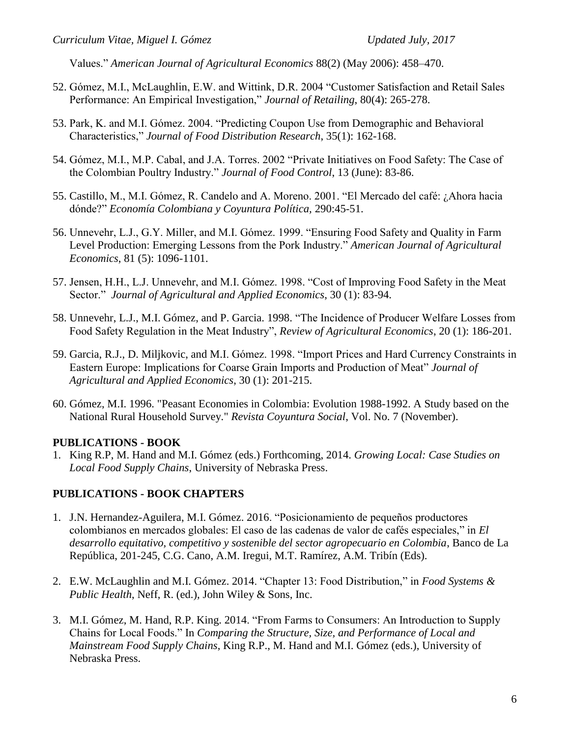Values." *American Journal of Agricultural Economics* 88(2) (May 2006): 458–470.

- 52. Gómez, M.I., McLaughlin, E.W. and Wittink, D.R. 2004 "Customer Satisfaction and Retail Sales Performance: An Empirical Investigation," *Journal of Retailing*, 80(4): 265-278.
- 53. Park, K. and M.I. Gómez. 2004. "Predicting Coupon Use from Demographic and Behavioral Characteristics," *Journal of Food Distribution Research*, 35(1): 162-168.
- 54. Gómez, M.I., M.P. Cabal, and J.A. Torres. 2002 "Private Initiatives on Food Safety: The Case of the Colombian Poultry Industry." *Journal of Food Control*, 13 (June): 83-86.
- 55. Castillo, M., M.I. Gómez, R. Candelo and A. Moreno. 2001. "El Mercado del café: ¿Ahora hacia dónde?" *Economía Colombiana y Coyuntura Política,* 290:45-51.
- 56. Unnevehr, L.J., G.Y. Miller, and M.I. Gómez. 1999. "Ensuring Food Safety and Quality in Farm Level Production: Emerging Lessons from the Pork Industry." *American Journal of Agricultural Economics*, 81 (5): 1096-1101.
- 57. Jensen, H.H., L.J. Unnevehr, and M.I. Gómez. 1998. "Cost of Improving Food Safety in the Meat Sector." *Journal of Agricultural and Applied Economics*, 30 (1): 83-94.
- 58. Unnevehr, L.J., M.I. Gómez, and P. Garcia. 1998. "The Incidence of Producer Welfare Losses from Food Safety Regulation in the Meat Industry", *Review of Agricultural Economics*, 20 (1): 186-201.
- 59. Garcia, R.J., D. Miljkovic, and M.I. Gómez. 1998. "Import Prices and Hard Currency Constraints in Eastern Europe: Implications for Coarse Grain Imports and Production of Meat" *Journal of Agricultural and Applied Economics*, 30 (1): 201-215.
- 60. Gómez, M.I. 1996. "Peasant Economies in Colombia: Evolution 1988-1992. A Study based on the National Rural Household Survey." *Revista Coyuntura Social*, Vol. No. 7 (November).

### **PUBLICATIONS - BOOK**

1. King R.P, M. Hand and M.I. Gómez (eds.) Forthcoming, 2014. *Growing Local: Case Studies on Local Food Supply Chains*, University of Nebraska Press.

### **PUBLICATIONS - BOOK CHAPTERS**

- 1. J.N. Hernandez-Aguilera, M.I. Gómez. 2016. "Posicionamiento de pequeños productores colombianos en mercados globales: El caso de las cadenas de valor de cafés especiales," in *El desarrollo equitativo, competitivo y sostenible del sector agropecuario en Colombia*, Banco de La República, 201-245, C.G. Cano, A.M. Iregui, M.T. Ramírez, A.M. Tribín (Eds).
- 2. E.W. McLaughlin and M.I. Gómez. 2014. "Chapter 13: Food Distribution," in *Food Systems & Public Health*, Neff, R. (ed.), John Wiley & Sons, Inc.
- 3. M.I. Gómez, M. Hand, R.P. King. 2014. "From Farms to Consumers: An Introduction to Supply Chains for Local Foods." In *Comparing the Structure, Size, and Performance of Local and Mainstream Food Supply Chains*, King R.P., M. Hand and M.I. Gómez (eds.), University of Nebraska Press.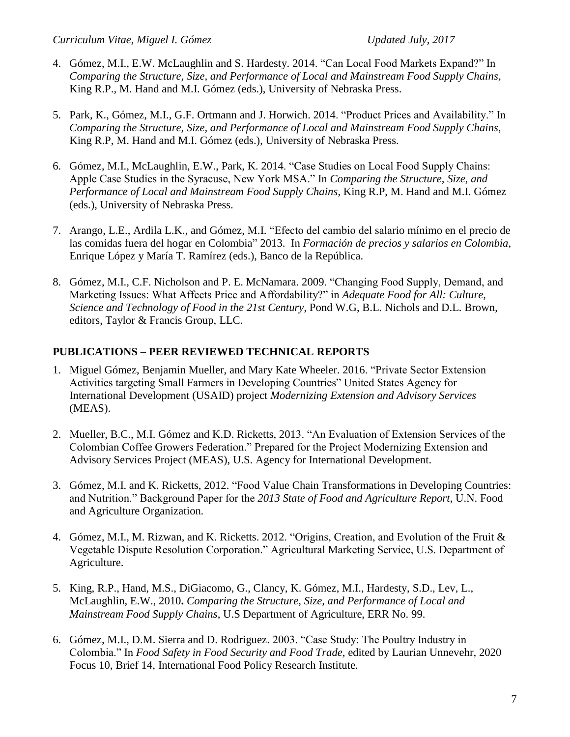- 4. Gómez, M.I., E.W. McLaughlin and S. Hardesty. 2014. "Can Local Food Markets Expand?" In *Comparing the Structure, Size, and Performance of Local and Mainstream Food Supply Chains*, King R.P., M. Hand and M.I. Gómez (eds.), University of Nebraska Press.
- 5. Park, K., Gómez, M.I., G.F. Ortmann and J. Horwich. 2014. "Product Prices and Availability." In *Comparing the Structure, Size, and Performance of Local and Mainstream Food Supply Chains*, King R.P, M. Hand and M.I. Gómez (eds.), University of Nebraska Press.
- 6. Gómez, M.I., McLaughlin, E.W., Park, K. 2014. "Case Studies on Local Food Supply Chains: Apple Case Studies in the Syracuse, New York MSA." In *Comparing the Structure, Size, and Performance of Local and Mainstream Food Supply Chains*, King R.P, M. Hand and M.I. Gómez (eds.), University of Nebraska Press.
- 7. Arango, L.E., Ardila L.K., and Gómez, M.I. "Efecto del cambio del salario mínimo en el precio de las comidas fuera del hogar en Colombia" 2013. In *Formación de precios y salarios en Colombia*, Enrique López y María T. Ramírez (eds.), Banco de la República.
- 8. Gómez, M.I., C.F. Nicholson and P. E. McNamara. 2009. "Changing Food Supply, Demand, and Marketing Issues: What Affects Price and Affordability?" in *Adequate Food for All: Culture, Science and Technology of Food in the 21st Century*, Pond W.G, B.L. Nichols and D.L. Brown, editors, Taylor & Francis Group, LLC.

## **PUBLICATIONS – PEER REVIEWED TECHNICAL REPORTS**

- 1. Miguel Gómez, Benjamin Mueller, and Mary Kate Wheeler. 2016. "Private Sector Extension Activities targeting Small Farmers in Developing Countries" United States Agency for International Development (USAID) project *Modernizing Extension and Advisory Services* (MEAS).
- 2. Mueller, B.C., M.I. Gómez and K.D. Ricketts, 2013. "An Evaluation of Extension Services of the Colombian Coffee Growers Federation." Prepared for the Project Modernizing Extension and Advisory Services Project (MEAS), U.S. Agency for International Development.
- 3. Gómez, M.I. and K. Ricketts, 2012. "Food Value Chain Transformations in Developing Countries: and Nutrition." Background Paper for the *2013 State of Food and Agriculture Report*, U.N. Food and Agriculture Organization*.*
- 4. Gómez, M.I., M. Rizwan, and K. Ricketts. 2012. "Origins, Creation, and Evolution of the Fruit & Vegetable Dispute Resolution Corporation." Agricultural Marketing Service, U.S. Department of Agriculture.
- 5. King, R.P., Hand, M.S., DiGiacomo, G., Clancy, K. Gómez, M.I., Hardesty, S.D., Lev, L., McLaughlin, E.W., 2010**.** *Comparing the Structure, Size, and Performance of Local and Mainstream Food Supply Chains*, U.S Department of Agriculture, ERR No. 99.
- 6. Gómez, M.I., D.M. Sierra and D. Rodriguez. 2003. "Case Study: The Poultry Industry in Colombia." In *Food Safety in Food Security and Food Trade*, edited by Laurian Unnevehr, 2020 Focus 10, Brief 14, International Food Policy Research Institute.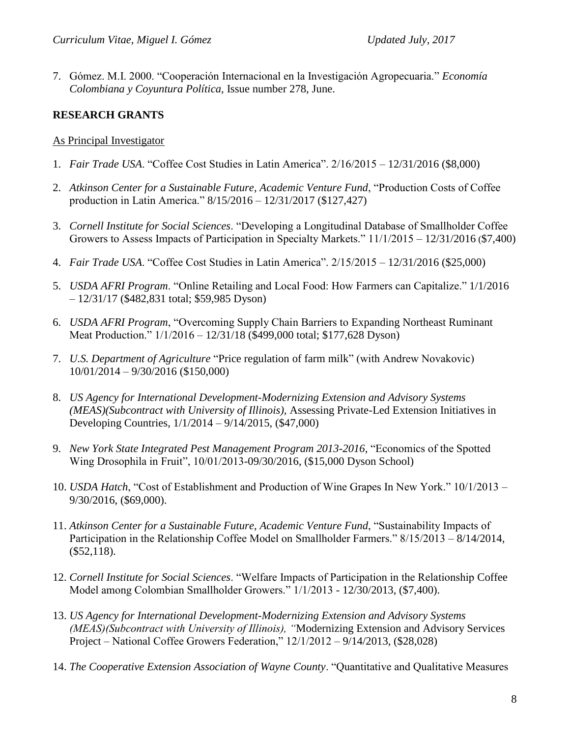7. Gómez. M.I. 2000. "Cooperación Internacional en la Investigación Agropecuaria." *Economía Colombiana y Coyuntura Política,* Issue number 278, June.

# **RESEARCH GRANTS**

## As Principal Investigator

- 1. *Fair Trade USA*. "Coffee Cost Studies in Latin America". 2/16/2015 12/31/2016 (\$8,000)
- 2. *Atkinson Center for a Sustainable Future, Academic Venture Fund*, "Production Costs of Coffee production in Latin America." 8/15/2016 – 12/31/2017 (\$127,427)
- 3. *Cornell Institute for Social Sciences*. "Developing a Longitudinal Database of Smallholder Coffee Growers to Assess Impacts of Participation in Specialty Markets." 11/1/2015 – 12/31/2016 (\$7,400)
- 4. *Fair Trade USA*. "Coffee Cost Studies in Latin America". 2/15/2015 12/31/2016 (\$25,000)
- 5. *USDA AFRI Program*. "Online Retailing and Local Food: How Farmers can Capitalize." 1/1/2016 – 12/31/17 (\$482,831 total; \$59,985 Dyson)
- 6. *USDA AFRI Program*, "Overcoming Supply Chain Barriers to Expanding Northeast Ruminant Meat Production." 1/1/2016 – 12/31/18 (\$499,000 total; \$177,628 Dyson)
- 7. *U.S. Department of Agriculture* "Price regulation of farm milk" (with Andrew Novakovic) 10/01/2014 – 9/30/2016 (\$150,000)
- 8. *US Agency for International Development-Modernizing Extension and Advisory Systems (MEAS)(Subcontract with University of Illinois),* Assessing Private-Led Extension Initiatives in Developing Countries, 1/1/2014 – 9/14/2015, (\$47,000)
- 9. *New York State Integrated Pest Management Program 2013-2016,* "Economics of the Spotted Wing Drosophila in Fruit", 10/01/2013-09/30/2016, (\$15,000 Dyson School)
- 10. *USDA Hatch*, "Cost of Establishment and Production of Wine Grapes In New York." 10/1/2013 9/30/2016, (\$69,000).
- 11. *Atkinson Center for a Sustainable Future, Academic Venture Fund*, "Sustainability Impacts of Participation in the Relationship Coffee Model on Smallholder Farmers." 8/15/2013 – 8/14/2014, (\$52,118).
- 12. *Cornell Institute for Social Sciences*. "Welfare Impacts of Participation in the Relationship Coffee Model among Colombian Smallholder Growers." 1/1/2013 - 12/30/2013, (\$7,400).
- 13. *US Agency for International Development-Modernizing Extension and Advisory Systems (MEAS)(Subcontract with University of Illinois), "*Modernizing Extension and Advisory Services Project – National Coffee Growers Federation," 12/1/2012 – 9/14/2013, (\$28,028)
- 14. *The Cooperative Extension Association of Wayne County*. "Quantitative and Qualitative Measures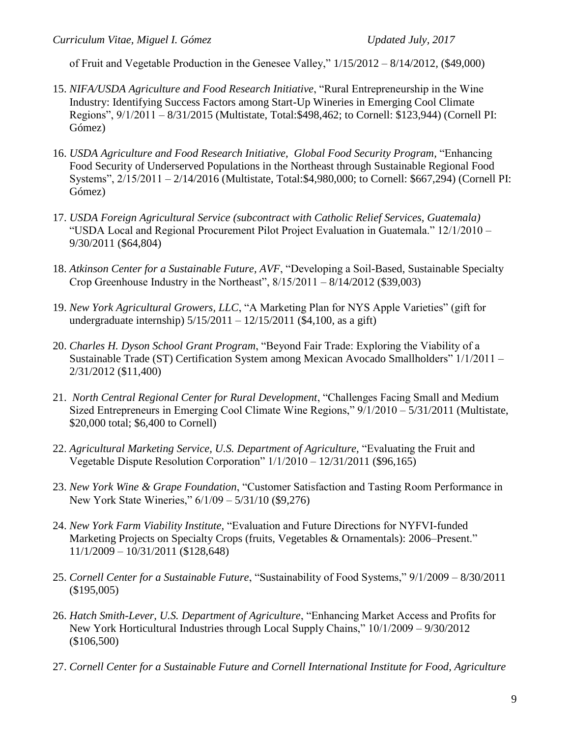of Fruit and Vegetable Production in the Genesee Valley," 1/15/2012 – 8/14/2012*,* (\$49,000)

- 15. *NIFA/USDA Agriculture and Food Research Initiative*, "Rural Entrepreneurship in the Wine Industry: Identifying Success Factors among Start-Up Wineries in Emerging Cool Climate Regions", 9/1/2011 – 8/31/2015 (Multistate, Total:\$498,462; to Cornell: \$123,944) (Cornell PI: Gómez)
- 16. *USDA Agriculture and Food Research Initiative, Global Food Security Program,* "Enhancing Food Security of Underserved Populations in the Northeast through Sustainable Regional Food Systems", 2/15/2011 – 2/14/2016 (Multistate, Total:\$4,980,000; to Cornell: \$667,294) (Cornell PI: Gómez)
- 17. *USDA Foreign Agricultural Service (subcontract with Catholic Relief Services, Guatemala)* "USDA Local and Regional Procurement Pilot Project Evaluation in Guatemala." 12/1/2010 – 9/30/2011 (\$64,804)
- 18. *Atkinson Center for a Sustainable Future, AVF*, "Developing a Soil-Based, Sustainable Specialty Crop Greenhouse Industry in the Northeast", 8/15/2011 – 8/14/2012 (\$39,003)
- 19. *New York Agricultural Growers, LLC*, "A Marketing Plan for NYS Apple Varieties" (gift for undergraduate internship) 5/15/2011 – 12/15/2011 (\$4,100, as a gift)
- 20. *Charles H. Dyson School Grant Program*, "Beyond Fair Trade: Exploring the Viability of a Sustainable Trade (ST) Certification System among Mexican Avocado Smallholders" 1/1/2011 – 2/31/2012 (\$11,400)
- 21. *North Central Regional Center for Rural Development*, "Challenges Facing Small and Medium Sized Entrepreneurs in Emerging Cool Climate Wine Regions," 9/1/2010 – 5/31/2011 (Multistate, \$20,000 total; \$6,400 to Cornell)
- 22. *Agricultural Marketing Service, U.S. Department of Agriculture,* "Evaluating the Fruit and Vegetable Dispute Resolution Corporation" 1/1/2010 – 12/31/2011 (\$96,165)
- 23. *New York Wine & Grape Foundation*, "Customer Satisfaction and Tasting Room Performance in New York State Wineries," 6/1/09 – 5/31/10 (\$9,276)
- 24. *New York Farm Viability Institute,* "Evaluation and Future Directions for NYFVI-funded Marketing Projects on Specialty Crops (fruits, Vegetables & Ornamentals): 2006–Present." 11/1/2009 – 10/31/2011 (\$128,648)
- 25. *Cornell Center for a Sustainable Future*, "Sustainability of Food Systems," 9/1/2009 8/30/2011 (\$195,005)
- 26. *Hatch Smith-Lever, U.S. Department of Agriculture*, "Enhancing Market Access and Profits for New York Horticultural Industries through Local Supply Chains," 10/1/2009 – 9/30/2012 (\$106,500)
- 27. *Cornell Center for a Sustainable Future and Cornell International Institute for Food, Agriculture*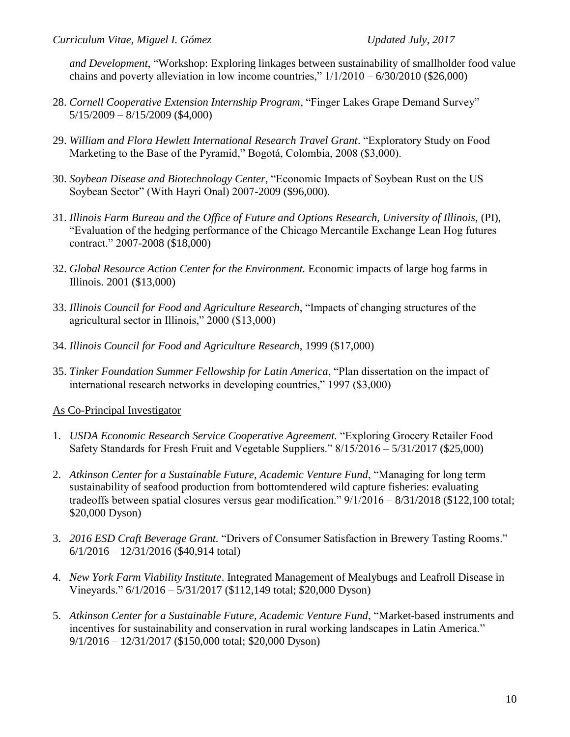*and Development*, "Workshop: Exploring linkages between sustainability of smallholder food value chains and poverty alleviation in low income countries,"  $1/1/2010 - 6/30/2010$  (\$26,000)

- 28. *Cornell Cooperative Extension Internship Program*, "Finger Lakes Grape Demand Survey"  $5/15/2009 - 8/15/2009$  (\$4,000)
- 29. *William and Flora Hewlett International Research Travel Grant*. "Exploratory Study on Food Marketing to the Base of the Pyramid," Bogotá, Colombia, 2008 (\$3,000).
- 30. *Soybean Disease and Biotechnology Center,* "Economic Impacts of Soybean Rust on the US Soybean Sector" (With Hayri Onal) 2007-2009 (\$96,000).
- 31. *Illinois Farm Bureau and the Office of Future and Options Research, University of Illinois,* (PI), "Evaluation of the hedging performance of the Chicago Mercantile Exchange Lean Hog futures contract." 2007-2008 (\$18,000)
- 32. *Global Resource Action Center for the Environment.* Economic impacts of large hog farms in Illinois. 2001 (\$13,000)
- 33. *Illinois Council for Food and Agriculture Research*, "Impacts of changing structures of the agricultural sector in Illinois," 2000 (\$13,000)
- 34. *Illinois Council for Food and Agriculture Research*, 1999 (\$17,000)
- 35. *Tinker Foundation Summer Fellowship for Latin America*, "Plan dissertation on the impact of international research networks in developing countries," 1997 (\$3,000)

### As Co-Principal Investigator

- 1. *USDA Economic Research Service Cooperative Agreement.* "Exploring Grocery Retailer Food Safety Standards for Fresh Fruit and Vegetable Suppliers." 8/15/2016 – 5/31/2017 (\$25,000)
- 2. *Atkinson Center for a Sustainable Future, Academic Venture Fund*, "Managing for long term sustainability of seafood production from bottomtendered wild capture fisheries: evaluating tradeoffs between spatial closures versus gear modification." 9/1/2016 – 8/31/2018 (\$122,100 total; \$20,000 Dyson)
- 3. *2016 ESD Craft Beverage Grant.* "Drivers of Consumer Satisfaction in Brewery Tasting Rooms." 6/1/2016 – 12/31/2016 (\$40,914 total)
- 4. *New York Farm Viability Institute*. Integrated Management of Mealybugs and Leafroll Disease in Vineyards." 6/1/2016 – 5/31/2017 (\$112,149 total; \$20,000 Dyson)
- 5. *Atkinson Center for a Sustainable Future, Academic Venture Fund*, "Market-based instruments and incentives for sustainability and conservation in rural working landscapes in Latin America." 9/1/2016 – 12/31/2017 (\$150,000 total; \$20,000 Dyson)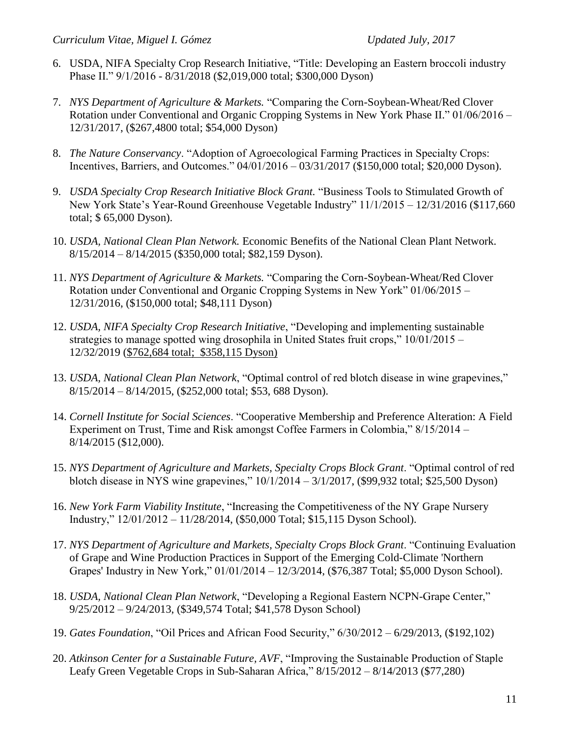- 6. USDA, NIFA Specialty Crop Research Initiative, "Title: Developing an Eastern broccoli industry Phase II." 9/1/2016 - 8/31/2018 (\$2,019,000 total; \$300,000 Dyson)
- 7. *NYS Department of Agriculture & Markets.* "Comparing the Corn-Soybean-Wheat/Red Clover Rotation under Conventional and Organic Cropping Systems in New York Phase II." 01/06/2016 – 12/31/2017, (\$267,4800 total; \$54,000 Dyson)
- 8. *The Nature Conservancy*. "Adoption of Agroecological Farming Practices in Specialty Crops: Incentives, Barriers, and Outcomes." 04/01/2016 – 03/31/2017 (\$150,000 total; \$20,000 Dyson).
- 9. *USDA Specialty Crop Research Initiative Block Grant.* "Business Tools to Stimulated Growth of New York State's Year-Round Greenhouse Vegetable Industry" 11/1/2015 – 12/31/2016 (\$117,660 total; \$ 65,000 Dyson).
- 10. *USDA, National Clean Plan Network.* Economic Benefits of the National Clean Plant Network. 8/15/2014 – 8/14/2015 (\$350,000 total; \$82,159 Dyson).
- 11. *NYS Department of Agriculture & Markets.* "Comparing the Corn-Soybean-Wheat/Red Clover Rotation under Conventional and Organic Cropping Systems in New York" 01/06/2015 – 12/31/2016, (\$150,000 total; \$48,111 Dyson)
- 12. *USDA, NIFA Specialty Crop Research Initiative*, "Developing and implementing sustainable strategies to manage spotted wing drosophila in United States fruit crops," 10/01/2015 – 12/32/2019 (\$762,684 total; \$358,115 Dyson)
- 13. *USDA, National Clean Plan Network*, "Optimal control of red blotch disease in wine grapevines," 8/15/2014 – 8/14/2015, (\$252,000 total; \$53, 688 Dyson).
- 14. *Cornell Institute for Social Sciences*. "Cooperative Membership and Preference Alteration: A Field Experiment on Trust, Time and Risk amongst Coffee Farmers in Colombia," 8/15/2014 – 8/14/2015 (\$12,000).
- 15. *NYS Department of Agriculture and Markets, Specialty Crops Block Grant*. "Optimal control of red blotch disease in NYS wine grapevines," 10/1/2014 – 3/1/2017, (\$99,932 total; \$25,500 Dyson)
- 16. *New York Farm Viability Institute*, "Increasing the Competitiveness of the NY Grape Nursery Industry," 12/01/2012 – 11/28/2014, (\$50,000 Total; \$15,115 Dyson School).
- 17. *NYS Department of Agriculture and Markets, Specialty Crops Block Grant*. "Continuing Evaluation of Grape and Wine Production Practices in Support of the Emerging Cold-Climate 'Northern Grapes' Industry in New York," 01/01/2014 – 12/3/2014, (\$76,387 Total; \$5,000 Dyson School).
- 18. *USDA, National Clean Plan Network*, "Developing a Regional Eastern NCPN-Grape Center," 9/25/2012 – 9/24/2013, (\$349,574 Total; \$41,578 Dyson School)
- 19. *Gates Foundation*, "Oil Prices and African Food Security," 6/30/2012 6/29/2013, (\$192,102)
- 20. *Atkinson Center for a Sustainable Future, AVF*, "Improving the Sustainable Production of Staple Leafy Green Vegetable Crops in Sub-Saharan Africa," 8/15/2012 – 8/14/2013 (\$77,280)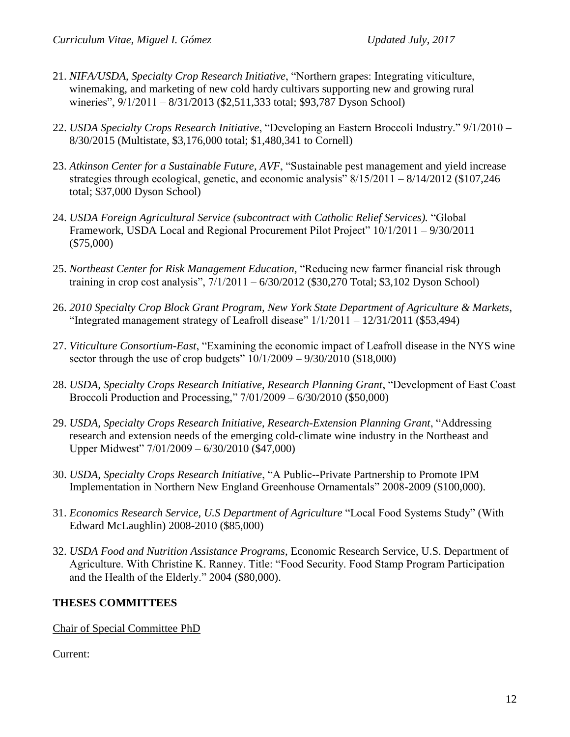- 21. *NIFA/USDA, Specialty Crop Research Initiative*, "Northern grapes: Integrating viticulture, winemaking, and marketing of new cold hardy cultivars supporting new and growing rural wineries", 9/1/2011 – 8/31/2013 (\$2,511,333 total; \$93,787 Dyson School)
- 22. *USDA Specialty Crops Research Initiative*, "Developing an Eastern Broccoli Industry." 9/1/2010 8/30/2015 (Multistate, \$3,176,000 total; \$1,480,341 to Cornell)
- 23. *Atkinson Center for a Sustainable Future, AVF*, "Sustainable pest management and yield increase strategies through ecological, genetic, and economic analysis"  $8/15/2011 - 8/14/2012$  (\$107,246) total; \$37,000 Dyson School)
- 24. *USDA Foreign Agricultural Service (subcontract with Catholic Relief Services).* "Global Framework, USDA Local and Regional Procurement Pilot Project" 10/1/2011 – 9/30/2011 (\$75,000)
- 25. *Northeast Center for Risk Management Education,* "Reducing new farmer financial risk through training in crop cost analysis", 7/1/2011 – 6/30/2012 (\$30,270 Total; \$3,102 Dyson School)
- 26. *2010 Specialty Crop Block Grant Program, New York State Department of Agriculture & Markets*, "Integrated management strategy of Leafroll disease"  $1/1/2011 - 12/31/2011$  (\$53,494)
- 27. *Viticulture Consortium-East*, "Examining the economic impact of Leafroll disease in the NYS wine sector through the use of crop budgets"  $10/1/2009 - 9/30/2010$  (\$18,000)
- 28. *USDA, Specialty Crops Research Initiative, Research Planning Grant*, "Development of East Coast Broccoli Production and Processing," 7/01/2009 – 6/30/2010 (\$50,000)
- 29. *USDA, Specialty Crops Research Initiative, Research-Extension Planning Grant*, "Addressing research and extension needs of the emerging cold-climate wine industry in the Northeast and Upper Midwest" 7/01/2009 – 6/30/2010 (\$47,000)
- 30. *USDA, Specialty Crops Research Initiative*, "A Public--Private Partnership to Promote IPM Implementation in Northern New England Greenhouse Ornamentals" 2008-2009 (\$100,000).
- 31. *Economics Research Service, U.S Department of Agriculture* "Local Food Systems Study" (With Edward McLaughlin) 2008-2010 (\$85,000)
- 32. *USDA Food and Nutrition Assistance Programs*, Economic Research Service, U.S. Department of Agriculture. With Christine K. Ranney. Title: "Food Security. Food Stamp Program Participation and the Health of the Elderly." 2004 (\$80,000).

### **THESES COMMITTEES**

Chair of Special Committee PhD

Current: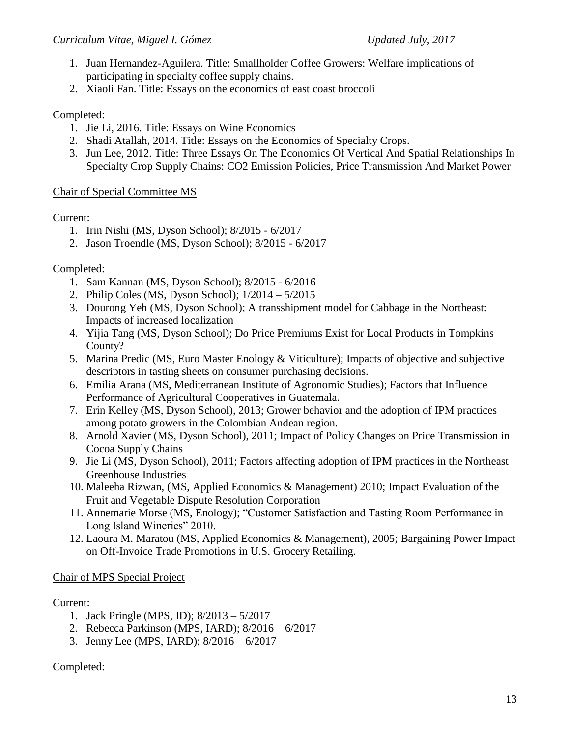- 1. Juan Hernandez-Aguilera. Title: Smallholder Coffee Growers: Welfare implications of participating in specialty coffee supply chains.
- 2. Xiaoli Fan. Title: Essays on the economics of east coast broccoli

## Completed:

- 1. Jie Li, 2016. Title: Essays on Wine Economics
- 2. Shadi Atallah, 2014. Title: Essays on the Economics of Specialty Crops.
- 3. Jun Lee, 2012. Title: Three Essays On The Economics Of Vertical And Spatial Relationships In Specialty Crop Supply Chains: CO2 Emission Policies, Price Transmission And Market Power

## Chair of Special Committee MS

## Current:

- 1. Irin Nishi (MS, Dyson School); 8/2015 6/2017
- 2. Jason Troendle (MS, Dyson School); 8/2015 6/2017

## Completed:

- 1. Sam Kannan (MS, Dyson School); 8/2015 6/2016
- 2. Philip Coles (MS, Dyson School); 1/2014 5/2015
- 3. Dourong Yeh (MS, Dyson School); A transshipment model for Cabbage in the Northeast: Impacts of increased localization
- 4. Yijia Tang (MS, Dyson School); Do Price Premiums Exist for Local Products in Tompkins County?
- 5. Marina Predic (MS, Euro Master Enology & Viticulture); Impacts of objective and subjective descriptors in tasting sheets on consumer purchasing decisions.
- 6. Emilia Arana (MS, Mediterranean Institute of Agronomic Studies); Factors that Influence Performance of Agricultural Cooperatives in Guatemala.
- 7. Erin Kelley (MS, Dyson School), 2013; Grower behavior and the adoption of IPM practices among potato growers in the Colombian Andean region.
- 8. Arnold Xavier (MS, Dyson School), 2011; Impact of Policy Changes on Price Transmission in Cocoa Supply Chains
- 9. Jie Li (MS, Dyson School), 2011; Factors affecting adoption of IPM practices in the Northeast Greenhouse Industries
- 10. Maleeha Rizwan, (MS, Applied Economics & Management) 2010; Impact Evaluation of the Fruit and Vegetable Dispute Resolution Corporation
- 11. Annemarie Morse (MS, Enology); "Customer Satisfaction and Tasting Room Performance in Long Island Wineries" 2010.
- 12. Laoura M. Maratou (MS, Applied Economics & Management), 2005; Bargaining Power Impact on Off-Invoice Trade Promotions in U.S. Grocery Retailing.

## Chair of MPS Special Project

### Current:

- 1. Jack Pringle (MPS, ID); 8/2013 5/2017
- 2. Rebecca Parkinson (MPS, IARD); 8/2016 6/2017
- 3. Jenny Lee (MPS, IARD); 8/2016 6/2017

## Completed: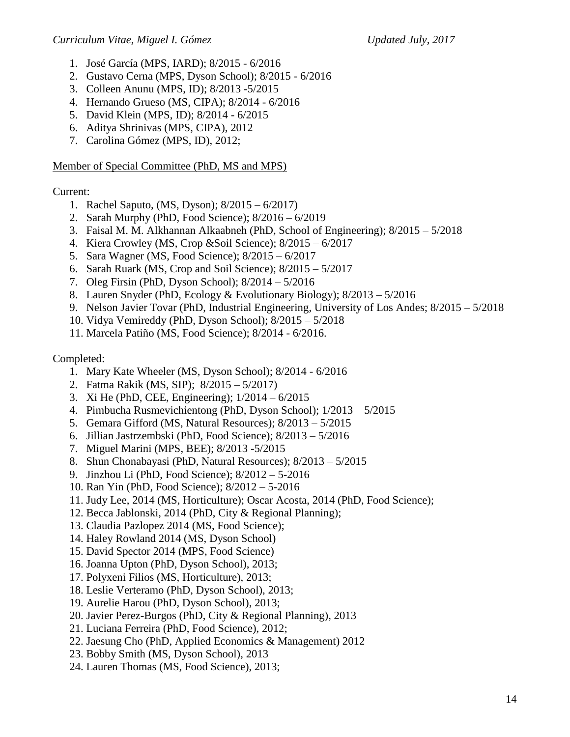- 1. José García (MPS, IARD); 8/2015 6/2016
- 2. Gustavo Cerna (MPS, Dyson School); 8/2015 6/2016
- 3. Colleen Anunu (MPS, ID); 8/2013 -5/2015
- 4. Hernando Grueso (MS, CIPA); 8/2014 6/2016
- 5. David Klein (MPS, ID); 8/2014 6/2015
- 6. Aditya Shrinivas (MPS, CIPA), 2012
- 7. Carolina Gómez (MPS, ID), 2012;

#### Member of Special Committee (PhD, MS and MPS)

### Current:

- 1. Rachel Saputo, (MS, Dyson); 8/2015 6/2017)
- 2. Sarah Murphy (PhD, Food Science); 8/2016 6/2019
- 3. Faisal M. M. Alkhannan Alkaabneh (PhD, School of Engineering); 8/2015 5/2018
- 4. Kiera Crowley (MS, Crop &Soil Science); 8/2015 6/2017
- 5. Sara Wagner (MS, Food Science); 8/2015 6/2017
- 6. Sarah Ruark (MS, Crop and Soil Science); 8/2015 5/2017
- 7. Oleg Firsin (PhD, Dyson School); 8/2014 5/2016
- 8. Lauren Snyder (PhD, Ecology & Evolutionary Biology); 8/2013 5/2016
- 9. Nelson Javier Tovar (PhD, Industrial Engineering, University of Los Andes; 8/2015 5/2018
- 10. Vidya Vemireddy (PhD, Dyson School); 8/2015 5/2018
- 11. Marcela Patiño (MS, Food Science); 8/2014 6/2016.

### Completed:

- 1. Mary Kate Wheeler (MS, Dyson School); 8/2014 6/2016
- 2. Fatma Rakik (MS, SIP); 8/2015 5/2017)
- 3. Xi He (PhD, CEE, Engineering); 1/2014 6/2015
- 4. Pimbucha Rusmevichientong (PhD, Dyson School); 1/2013 5/2015
- 5. Gemara Gifford (MS, Natural Resources); 8/2013 5/2015
- 6. Jillian Jastrzembski (PhD, Food Science); 8/2013 5/2016
- 7. Miguel Marini (MPS, BEE); 8/2013 -5/2015
- 8. Shun Chonabayasi (PhD, Natural Resources); 8/2013 5/2015
- 9. Jinzhou Li (PhD, Food Science); 8/2012 5-2016
- 10. Ran Yin (PhD, Food Science); 8/2012 5-2016
- 11. Judy Lee, 2014 (MS, Horticulture); Oscar Acosta, 2014 (PhD, Food Science);
- 12. Becca Jablonski, 2014 (PhD, City & Regional Planning);
- 13. Claudia Pazlopez 2014 (MS, Food Science);
- 14. Haley Rowland 2014 (MS, Dyson School)
- 15. David Spector 2014 (MPS, Food Science)
- 16. Joanna Upton (PhD, Dyson School), 2013;
- 17. Polyxeni Filios (MS, Horticulture), 2013;
- 18. Leslie Verteramo (PhD, Dyson School), 2013;
- 19. Aurelie Harou (PhD, Dyson School), 2013;
- 20. Javier Perez-Burgos (PhD, City & Regional Planning), 2013
- 21. Luciana Ferreira (PhD, Food Science), 2012;
- 22. Jaesung Cho (PhD, Applied Economics & Management) 2012
- 23. Bobby Smith (MS, Dyson School), 2013
- 24. Lauren Thomas (MS, Food Science), 2013;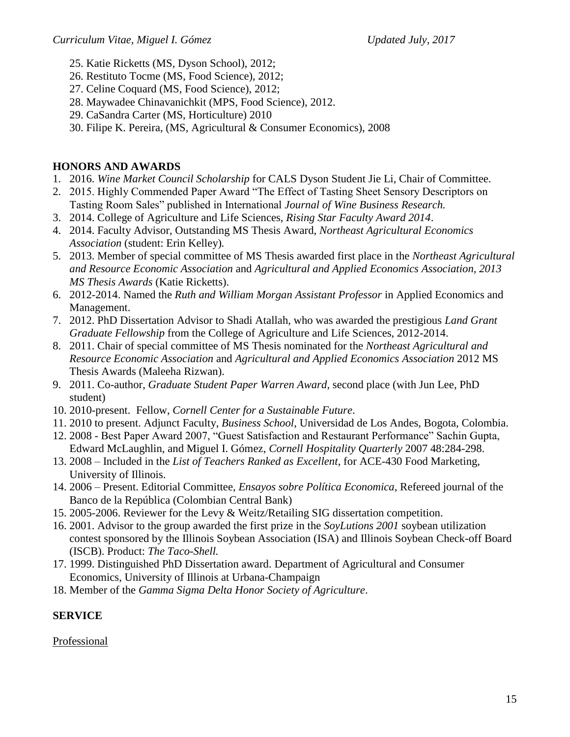- 25. Katie Ricketts (MS, Dyson School), 2012;
- 26. Restituto Tocme (MS, Food Science), 2012;
- 27. Celine Coquard (MS, Food Science), 2012;
- 28. Maywadee Chinavanichkit (MPS, Food Science), 2012.
- 29. CaSandra Carter (MS, Horticulture) 2010
- 30. Filipe K. Pereira, (MS, Agricultural & Consumer Economics), 2008

# **HONORS AND AWARDS**

- 1. 2016. *Wine Market Council Scholarship* for CALS Dyson Student Jie Li, Chair of Committee.
- 2. 2015. Highly Commended Paper Award "The Effect of Tasting Sheet Sensory Descriptors on Tasting Room Sales" published in International *Journal of Wine Business Research.*
- 3. 2014. College of Agriculture and Life Sciences, *Rising Star Faculty Award 2014*.
- 4. 2014. Faculty Advisor, Outstanding MS Thesis Award, *Northeast Agricultural Economics Association* (student: Erin Kelley)*.*
- 5. 2013. Member of special committee of MS Thesis awarded first place in the *Northeast Agricultural and Resource Economic Association* and *Agricultural and Applied Economics Association, 2013 MS Thesis Awards* (Katie Ricketts).
- 6. 2012-2014. Named the *Ruth and William Morgan Assistant Professor* in Applied Economics and Management.
- 7. 2012. PhD Dissertation Advisor to Shadi Atallah, who was awarded the prestigious *Land Grant Graduate Fellowship* from the College of Agriculture and Life Sciences, 2012-2014.
- 8. 2011. Chair of special committee of MS Thesis nominated for the *Northeast Agricultural and Resource Economic Association* and *Agricultural and Applied Economics Association* 2012 MS Thesis Awards (Maleeha Rizwan).
- 9. 2011. Co-author, *Graduate Student Paper Warren Award*, second place (with Jun Lee, PhD student)
- 10. 2010-present. Fellow, *Cornell Center for a Sustainable Future*.
- 11. 2010 to present. Adjunct Faculty, *Business School*, Universidad de Los Andes, Bogota, Colombia.
- 12. 2008 Best Paper Award 2007, "Guest Satisfaction and Restaurant Performance" Sachin Gupta, Edward McLaughlin, and Miguel I. Gómez, *Cornell Hospitality Quarterly* 2007 48:284-298.
- 13. 2008 Included in the *List of Teachers Ranked as Excellent*, for ACE-430 Food Marketing, University of Illinois.
- 14. 2006 Present. Editorial Committee, *Ensayos sobre Política Economica,* Refereed journal of the Banco de la República (Colombian Central Bank)
- 15. 2005-2006. Reviewer for the Levy & Weitz/Retailing SIG dissertation competition.
- 16. 2001. Advisor to the group awarded the first prize in the *SoyLutions 2001* soybean utilization contest sponsored by the Illinois Soybean Association (ISA) and Illinois Soybean Check-off Board (ISCB). Product: *The Taco-Shell.*
- 17. 1999. Distinguished PhD Dissertation award. Department of Agricultural and Consumer Economics, University of Illinois at Urbana-Champaign
- 18. Member of the *Gamma Sigma Delta Honor Society of Agriculture*.

## **SERVICE**

## Professional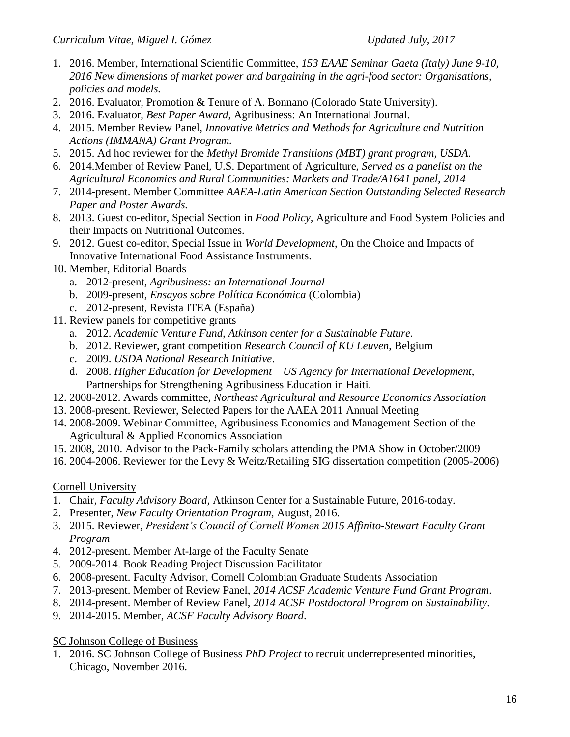- 1. 2016. Member, International Scientific Committee, *153 EAAE Seminar Gaeta (Italy) June 9-10, 2016 New dimensions of market power and bargaining in the agri-food sector: Organisations, policies and models.*
- 2. 2016. Evaluator, Promotion & Tenure of A. Bonnano (Colorado State University).
- 3. 2016. Evaluator, *Best Paper Award*, Agribusiness: An International Journal.
- 4. 2015. Member Review Panel, *Innovative Metrics and Methods for Agriculture and Nutrition Actions (IMMANA) Grant Program.*
- 5. 2015. Ad hoc reviewer for the *Methyl Bromide Transitions (MBT) grant program, USDA.*
- 6. 2014.Member of Review Panel, U.S. Department of Agriculture, *Served as a panelist on the Agricultural Economics and Rural Communities: Markets and Trade/A1641 panel, 2014*
- 7. 2014-present. Member Committee *AAEA-Latin American Section Outstanding Selected Research Paper and Poster Awards.*
- 8. 2013. Guest co-editor, Special Section in *Food Policy,* Agriculture and Food System Policies and their Impacts on Nutritional Outcomes.
- 9. 2012. Guest co-editor, Special Issue in *World Development*, On the Choice and Impacts of Innovative International Food Assistance Instruments.
- 10. Member, Editorial Boards
	- a. 2012-present, *Agribusiness: an International Journal*
	- b. 2009-present, *Ensayos sobre Política Económica* (Colombia)
	- c. 2012-present, Revista ITEA (España)
- 11. Review panels for competitive grants
	- a. 2012. *Academic Venture Fund, Atkinson center for a Sustainable Future.*
	- b. 2012. Reviewer, grant competition *Research Council of KU Leuven*, Belgium
	- c. 2009. *USDA National Research Initiative*.
	- d. 2008. *Higher Education for Development – US Agency for International Development*, Partnerships for Strengthening Agribusiness Education in Haiti.
- 12. 2008-2012. Awards committee, *Northeast Agricultural and Resource Economics Association*
- 13. 2008-present. Reviewer, Selected Papers for the AAEA 2011 Annual Meeting
- 14. 2008-2009. Webinar Committee, Agribusiness Economics and Management Section of the Agricultural & Applied Economics Association
- 15. 2008, 2010. Advisor to the Pack-Family scholars attending the PMA Show in October/2009
- 16. 2004-2006. Reviewer for the Levy & Weitz/Retailing SIG dissertation competition (2005-2006)

# Cornell University

- 1. Chair, *Faculty Advisory Board,* Atkinson Center for a Sustainable Future, 2016-today.
- 2. Presenter, *New Faculty Orientation Program,* August, 2016.
- 3. 2015. Reviewer, *President's Council of Cornell Women 2015 Affinito-Stewart Faculty Grant Program*
- 4. 2012-present. Member At-large of the Faculty Senate
- 5. 2009-2014. Book Reading Project Discussion Facilitator
- 6. 2008-present. Faculty Advisor, Cornell Colombian Graduate Students Association
- 7. 2013-present. Member of Review Panel, *2014 ACSF Academic Venture Fund Grant Program*.
- 8. 2014-present. Member of Review Panel, *2014 ACSF Postdoctoral Program on Sustainability*.
- 9. 2014-2015. Member, *ACSF Faculty Advisory Board*.

SC Johnson College of Business

1. 2016. SC Johnson College of Business *PhD Project* to recruit underrepresented minorities, Chicago, November 2016.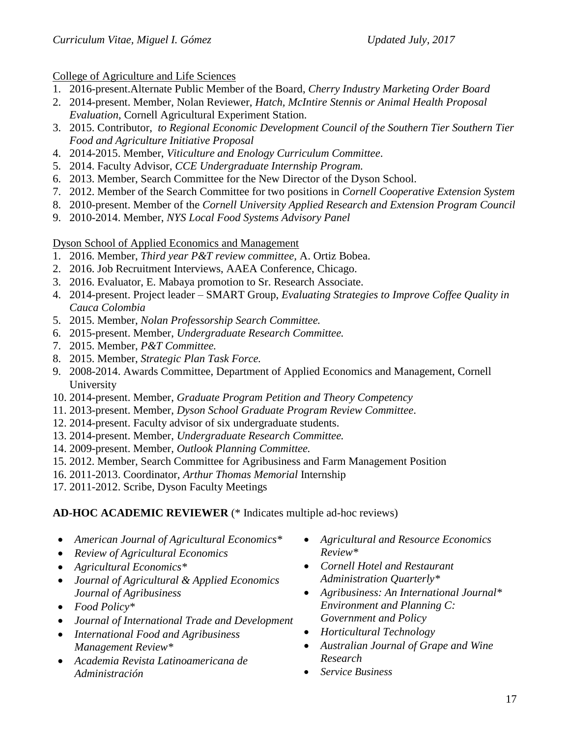College of Agriculture and Life Sciences

- 1. 2016-present.Alternate Public Member of the Board, *Cherry Industry Marketing Order Board*
- 2. 2014-present. Member, Nolan Reviewer, *Hatch, McIntire Stennis or Animal Health Proposal Evaluation*, Cornell Agricultural Experiment Station.
- 3. 2015. Contributor, *to Regional Economic Development Council of the Southern Tier Southern Tier Food and Agriculture Initiative Proposal*
- 4. 2014-2015. Member, *Viticulture and Enology Curriculum Committee*.
- 5. 2014. Faculty Advisor, *CCE Undergraduate Internship Program.*
- 6. 2013. Member, Search Committee for the New Director of the Dyson School.
- 7. 2012. Member of the Search Committee for two positions in *Cornell Cooperative Extension System*
- 8. 2010-present. Member of the *Cornell University Applied Research and Extension Program Council*
- 9. 2010-2014. Member, *NYS Local Food Systems Advisory Panel*

Dyson School of Applied Economics and Management

- 1. 2016. Member, *Third year P&T review committee,* A. Ortiz Bobea.
- 2. 2016. Job Recruitment Interviews, AAEA Conference, Chicago.
- 3. 2016. Evaluator, E. Mabaya promotion to Sr. Research Associate.
- 4. 2014-present. Project leader SMART Group, *Evaluating Strategies to Improve Coffee Quality in Cauca Colombia*
- 5. 2015. Member, *Nolan Professorship Search Committee.*
- 6. 2015-present. Member, *Undergraduate Research Committee.*
- 7. 2015. Member, *P&T Committee.*
- 8. 2015. Member, *Strategic Plan Task Force.*
- 9. 2008-2014. Awards Committee, Department of Applied Economics and Management, Cornell University
- 10. 2014-present. Member, *Graduate Program Petition and Theory Competency*
- 11. 2013-present. Member, *Dyson School Graduate Program Review Committee*.
- 12. 2014-present. Faculty advisor of six undergraduate students.
- 13. 2014-present. Member, *Undergraduate Research Committee.*
- 14. 2009-present. Member, *Outlook Planning Committee.*
- 15. 2012. Member, Search Committee for Agribusiness and Farm Management Position
- 16. 2011-2013. Coordinator, *Arthur Thomas Memorial* Internship
- 17. 2011-2012. Scribe, Dyson Faculty Meetings

# **AD-HOC ACADEMIC REVIEWER** (\* Indicates multiple ad-hoc reviews)

- *American Journal of Agricultural Economics\**
- *Review of Agricultural Economics*
- *Agricultural Economics\**
- *Journal of Agricultural & Applied Economics Journal of Agribusiness*
- *Food Policy\**
- *Journal of International Trade and Development*
- *International Food and Agribusiness Management Review\**
- *Academia Revista Latinoamericana de Administración*
- *Agricultural and Resource Economics Review\**
- *Cornell Hotel and Restaurant Administration Quarterly\**
- *Agribusiness: An International Journal\* Environment and Planning C: Government and Policy*
- *Horticultural Technology*
- *Australian Journal of Grape and Wine Research*
- *Service Business*